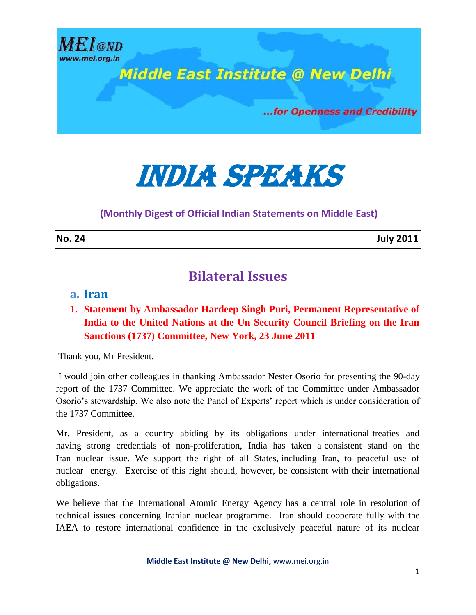

# India speaks

**(Monthly Digest of Official Indian Statements on Middle East)**

**No. 24 July 2011**

## **Bilateral Issues**

#### **a. Iran**

**1. Statement by Ambassador Hardeep Singh Puri, Permanent Representative of India to the United Nations at the Un Security Council Briefing on the Iran Sanctions (1737) Committee, New York, 23 June 2011** 

Thank you, Mr President.

I would join other colleagues in thanking Ambassador Nester Osorio for presenting the 90-day report of the 1737 Committee. We appreciate the work of the Committee under Ambassador Osorio's stewardship. We also note the Panel of Experts' report which is under consideration of the 1737 Committee.

Mr. President, as a country abiding by its obligations under international treaties and having strong credentials of non-proliferation, India has taken a consistent stand on the Iran nuclear issue. We support the right of all States, including Iran, to peaceful use of nuclear energy. Exercise of this right should, however, be consistent with their international obligations.

We believe that the International Atomic Energy Agency has a central role in resolution of technical issues concerning Iranian nuclear programme. Iran should cooperate fully with the IAEA to restore international confidence in the exclusively peaceful nature of its nuclear

**Middle East Institute @ New Delhi,** www.mei.org.in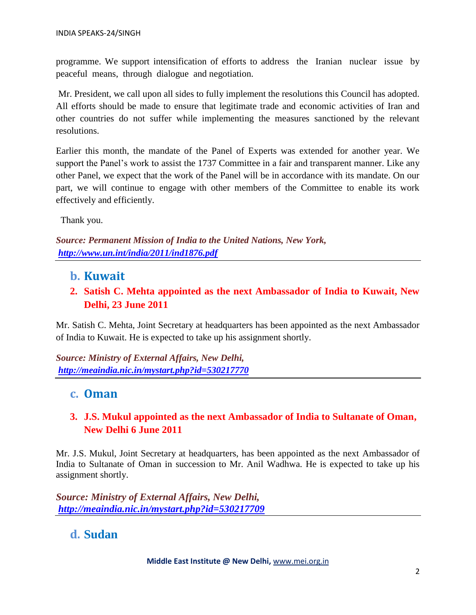programme. We support intensification of efforts to address the Iranian nuclear issue by peaceful means, through dialogue and negotiation.

Mr. President, we call upon all sides to fully implement the resolutions this Council has adopted. All efforts should be made to ensure that legitimate trade and economic activities of Iran and other countries do not suffer while implementing the measures sanctioned by the relevant resolutions.

Earlier this month, the mandate of the Panel of Experts was extended for another year. We support the Panel's work to assist the 1737 Committee in a fair and transparent manner. Like any other Panel, we expect that the work of the Panel will be in accordance with its mandate. On our part, we will continue to engage with other members of the Committee to enable its work effectively and efficiently.

Thank you.

*Source: Permanent Mission of India to the United Nations, New York, <http://www.un.int/india/2011/ind1876.pdf>*

- **b. Kuwait**
- **2. Satish C. Mehta appointed as the next Ambassador of India to Kuwait, New Delhi, 23 June 2011**

Mr. Satish C. Mehta, Joint Secretary at headquarters has been appointed as the next Ambassador of India to Kuwait. He is expected to take up his assignment shortly.

*Source: Ministry of External Affairs, New Delhi, <http://meaindia.nic.in/mystart.php?id=530217770>*

#### **c. Oman**

#### **3. J.S. Mukul appointed as the next Ambassador of India to Sultanate of Oman, New Delhi 6 June 2011**

Mr. J.S. Mukul, Joint Secretary at headquarters, has been appointed as the next Ambassador of India to Sultanate of Oman in succession to Mr. Anil Wadhwa. He is expected to take up his assignment shortly.

*Source: Ministry of External Affairs, New Delhi, <http://meaindia.nic.in/mystart.php?id=530217709>*

## **d. Sudan**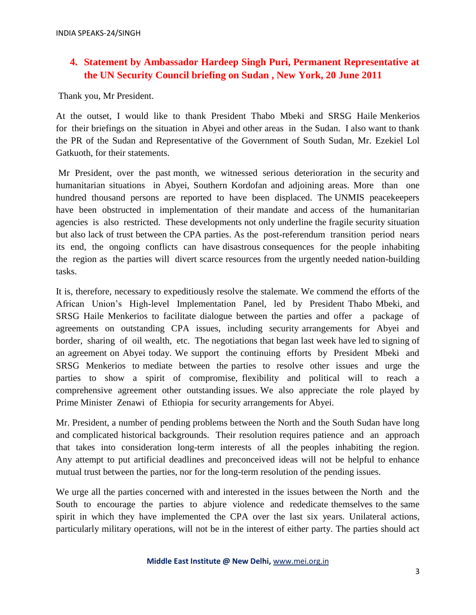#### **4. Statement by Ambassador Hardeep Singh Puri, Permanent Representative at the UN Security Council briefing on Sudan , New York, 20 June 2011**

Thank you, Mr President.

At the outset, I would like to thank President Thabo Mbeki and SRSG Haile Menkerios for their briefings on the situation in Abyei and other areas in the Sudan. I also want to thank the PR of the Sudan and Representative of the Government of South Sudan, Mr. Ezekiel Lol Gatkuoth, for their statements.

Mr President, over the past month, we witnessed serious deterioration in the security and humanitarian situations in Abyei, Southern Kordofan and adjoining areas. More than one hundred thousand persons are reported to have been displaced. The UNMIS peacekeepers have been obstructed in implementation of their mandate and access of the humanitarian agencies is also restricted. These developments not only underline the fragile security situation but also lack of trust between the CPA parties. As the post-referendum transition period nears its end, the ongoing conflicts can have disastrous consequences for the people inhabiting the region as the parties will divert scarce resources from the urgently needed nation-building tasks.

It is, therefore, necessary to expeditiously resolve the stalemate. We commend the efforts of the African Union's High-level Implementation Panel, led by President Thabo Mbeki, and SRSG Haile Menkerios to facilitate dialogue between the parties and offer a package of agreements on outstanding CPA issues, including security arrangements for Abyei and border, sharing of oil wealth, etc. The negotiations that began last week have led to signing of an agreement on Abyei today. We support the continuing efforts by President Mbeki and SRSG Menkerios to mediate between the parties to resolve other issues and urge the parties to show a spirit of compromise, flexibility and political will to reach a comprehensive agreement other outstanding issues. We also appreciate the role played by Prime Minister Zenawi of Ethiopia for security arrangements for Abyei.

Mr. President, a number of pending problems between the North and the South Sudan have long and complicated historical backgrounds. Their resolution requires patience and an approach that takes into consideration long-term interests of all the peoples inhabiting the region. Any attempt to put artificial deadlines and preconceived ideas will not be helpful to enhance mutual trust between the parties, nor for the long-term resolution of the pending issues.

We urge all the parties concerned with and interested in the issues between the North and the South to encourage the parties to abjure violence and rededicate themselves to the same spirit in which they have implemented the CPA over the last six years. Unilateral actions, particularly military operations, will not be in the interest of either party. The parties should act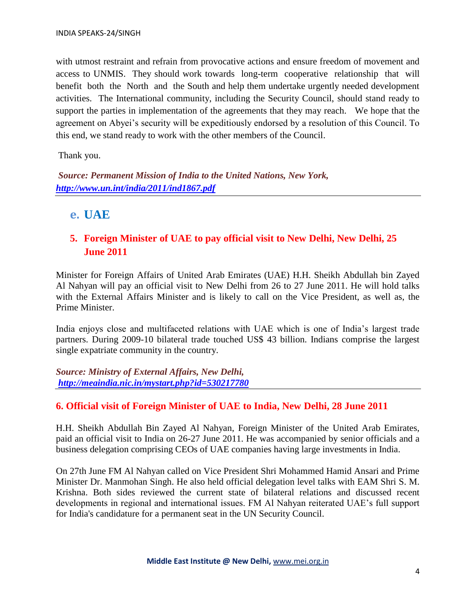with utmost restraint and refrain from provocative actions and ensure freedom of movement and access to UNMIS. They should work towards long-term cooperative relationship that will benefit both the North and the South and help them undertake urgently needed development activities. The International community, including the Security Council, should stand ready to support the parties in implementation of the agreements that they may reach. We hope that the agreement on Abyei's security will be expeditiously endorsed by a resolution of this Council. To this end, we stand ready to work with the other members of the Council.

Thank you.

*Source: Permanent Mission of India to the United Nations, New York, <http://www.un.int/india/2011/ind1867.pdf>*

**e. UAE**

#### **5. Foreign Minister of UAE to pay official visit to New Delhi, New Delhi, 25 June 2011**

Minister for Foreign Affairs of United Arab Emirates (UAE) H.H. Sheikh Abdullah bin Zayed Al Nahyan will pay an official visit to New Delhi from 26 to 27 June 2011. He will hold talks with the External Affairs Minister and is likely to call on the Vice President, as well as, the Prime Minister.

India enjoys close and multifaceted relations with UAE which is one of India's largest trade partners. During 2009-10 bilateral trade touched US\$ 43 billion. Indians comprise the largest single expatriate community in the country.

*Source: Ministry of External Affairs, New Delhi, <http://meaindia.nic.in/mystart.php?id=530217780>*

#### **6. Official visit of Foreign Minister of UAE to India, New Delhi, 28 June 2011**

H.H. Sheikh Abdullah Bin Zayed Al Nahyan, Foreign Minister of the United Arab Emirates, paid an official visit to India on 26-27 June 2011. He was accompanied by senior officials and a business delegation comprising CEOs of UAE companies having large investments in India.

On 27th June FM Al Nahyan called on Vice President Shri Mohammed Hamid Ansari and Prime Minister Dr. Manmohan Singh. He also held official delegation level talks with EAM Shri S. M. Krishna. Both sides reviewed the current state of bilateral relations and discussed recent developments in regional and international issues. FM Al Nahyan reiterated UAE's full support for India's candidature for a permanent seat in the UN Security Council.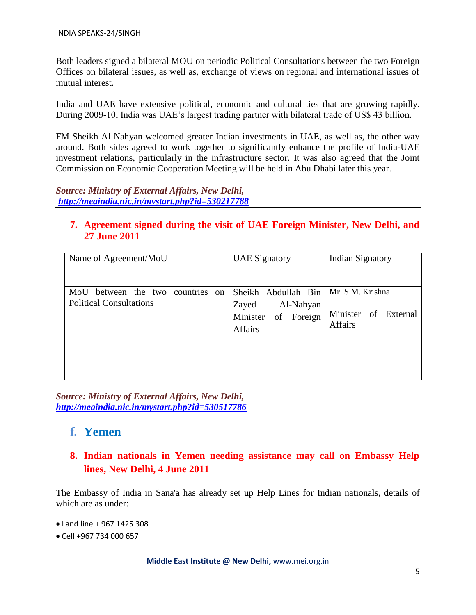Both leaders signed a bilateral MOU on periodic Political Consultations between the two Foreign Offices on bilateral issues, as well as, exchange of views on regional and international issues of mutual interest.

India and UAE have extensive political, economic and cultural ties that are growing rapidly. During 2009-10, India was UAE's largest trading partner with bilateral trade of US\$ 43 billion.

FM Sheikh Al Nahyan welcomed greater Indian investments in UAE, as well as, the other way around. Both sides agreed to work together to significantly enhance the profile of India-UAE investment relations, particularly in the infrastructure sector. It was also agreed that the Joint Commission on Economic Cooperation Meeting will be held in Abu Dhabi later this year.

*Source: Ministry of External Affairs, New Delhi, <http://meaindia.nic.in/mystart.php?id=530217788>*

#### **7. Agreement signed during the visit of UAE Foreign Minister, New Delhi, and 27 June 2011**

| Name of Agreement/MoU                                                               | <b>UAE</b> Signatory                                                               | <b>Indian Signatory</b>                                    |
|-------------------------------------------------------------------------------------|------------------------------------------------------------------------------------|------------------------------------------------------------|
| MoU<br>between the two countries<br><sub>on</sub><br><b>Political Consultations</b> | Sheikh Abdullah Bin<br>Al-Nahyan<br>Zayed<br>Minister of Foreign<br><b>Affairs</b> | Mr. S.M. Krishna<br>Minister of External<br><b>Affairs</b> |

*Source: Ministry of External Affairs, New Delhi, <http://meaindia.nic.in/mystart.php?id=530517786>*

#### **f. Yemen**

#### **8. Indian nationals in Yemen needing assistance may call on Embassy Help lines, New Delhi, 4 June 2011**

The Embassy of India in Sana'a has already set up Help Lines for Indian nationals, details of which are as under:

- Land line + 967 1425 308
- Cell +967 734 000 657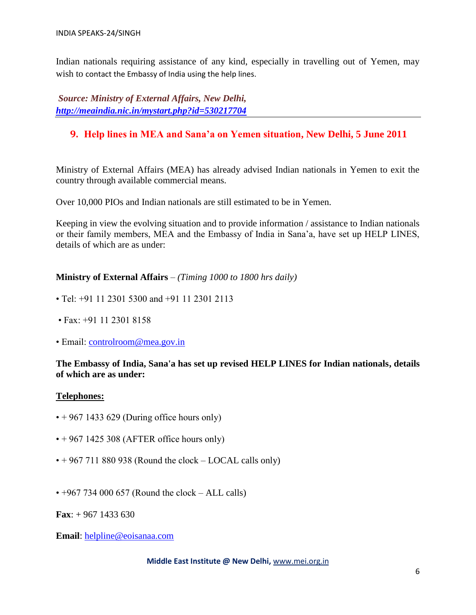Indian nationals requiring assistance of any kind, especially in travelling out of Yemen, may wish to contact the Embassy of India using the help lines.

*Source: Ministry of External Affairs, New Delhi, <http://meaindia.nic.in/mystart.php?id=530217704>*

#### **9. Help lines in MEA and Sana'a on Yemen situation, New Delhi, 5 June 2011**

Ministry of External Affairs (MEA) has already advised Indian nationals in Yemen to exit the country through available commercial means.

Over 10,000 PIOs and Indian nationals are still estimated to be in Yemen.

Keeping in view the evolving situation and to provide information / assistance to Indian nationals or their family members, MEA and the Embassy of India in Sana'a, have set up HELP LINES, details of which are as under:

#### **Ministry of External Affairs** – *(Timing 1000 to 1800 hrs daily)*

- Tel: +91 11 2301 5300 and +91 11 2301 2113
- Fax: +91 11 2301 8158
- Email: [controlroom@mea.gov.in](mailto:controlroom@mea.gov.in)

#### **The Embassy of India, Sana'a has set up revised HELP LINES for Indian nationals, details of which are as under:**

#### **Telephones:**

- $\cdot$  + 967 1433 629 (During office hours only)
- $\cdot$  + 967 1425 308 (AFTER office hours only)
- $\cdot$  + 967 711 880 938 (Round the clock LOCAL calls only)
- $\cdot$  +967 734 000 657 (Round the clock ALL calls)

**Fax**: + 967 1433 630

**Email**: [helpline@eoisanaa.com](mailto:helpline@eoisanaa.com)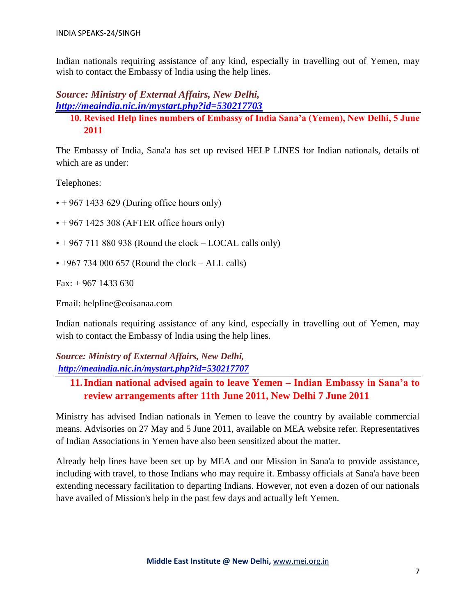Indian nationals requiring assistance of any kind, especially in travelling out of Yemen, may wish to contact the Embassy of India using the help lines.

#### *Source: Ministry of External Affairs, New Delhi, <http://meaindia.nic.in/mystart.php?id=530217703>*

### **10. Revised Help lines numbers of Embassy of India Sana'a (Yemen), New Delhi, 5 June 2011**

The Embassy of India, Sana'a has set up revised HELP LINES for Indian nationals, details of which are as under:

Telephones:

- $\cdot$  + 967 1433 629 (During office hours only)
- $\cdot$  + 967 1425 308 (AFTER office hours only)
- $\cdot$  + 967 711 880 938 (Round the clock LOCAL calls only)
- $\cdot$  +967 734 000 657 (Round the clock ALL calls)

Fax: + 967 1433 630

Email: helpline@eoisanaa.com

Indian nationals requiring assistance of any kind, especially in travelling out of Yemen, may wish to contact the Embassy of India using the help lines.

*Source: Ministry of External Affairs, New Delhi, <http://meaindia.nic.in/mystart.php?id=530217707>*

#### **11.Indian national advised again to leave Yemen – Indian Embassy in Sana'a to review arrangements after 11th June 2011, New Delhi 7 June 2011**

Ministry has advised Indian nationals in Yemen to leave the country by available commercial means. Advisories on 27 May and 5 June 2011, available on MEA website refer. Representatives of Indian Associations in Yemen have also been sensitized about the matter.

Already help lines have been set up by MEA and our Mission in Sana'a to provide assistance, including with travel, to those Indians who may require it. Embassy officials at Sana'a have been extending necessary facilitation to departing Indians. However, not even a dozen of our nationals have availed of Mission's help in the past few days and actually left Yemen.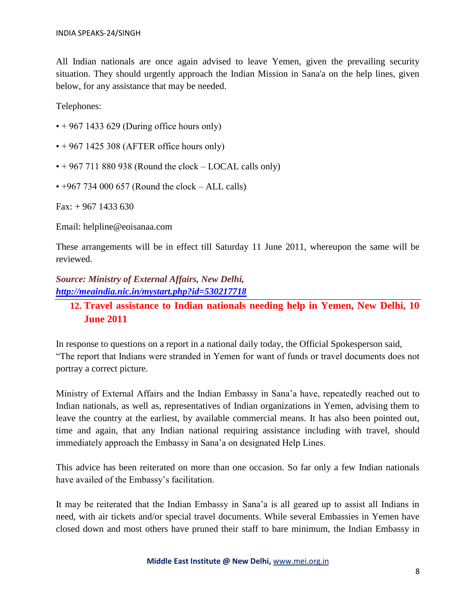All Indian nationals are once again advised to leave Yemen, given the prevailing security situation. They should urgently approach the Indian Mission in Sana'a on the help lines, given below, for any assistance that may be needed.

Telephones:

- $\cdot$  + 967 1433 629 (During office hours only)
- $\cdot$  + 967 1425 308 (AFTER office hours only)
- $\cdot$  + 967 711 880 938 (Round the clock LOCAL calls only)
- $\cdot$  +967 734 000 657 (Round the clock ALL calls)

Fax: + 967 1433 630

Email: helpline@eoisanaa.com

These arrangements will be in effect till Saturday 11 June 2011, whereupon the same will be reviewed.

*Source: Ministry of External Affairs, New Delhi, <http://meaindia.nic.in/mystart.php?id=530217718>*

**12. Travel assistance to Indian nationals needing help in Yemen, New Delhi, 10 June 2011**

In response to questions on a report in a national daily today, the Official Spokesperson said, "The report that Indians were stranded in Yemen for want of funds or travel documents does not portray a correct picture.

Ministry of External Affairs and the Indian Embassy in Sana'a have, repeatedly reached out to Indian nationals, as well as, representatives of Indian organizations in Yemen, advising them to leave the country at the earliest, by available commercial means. It has also been pointed out, time and again, that any Indian national requiring assistance including with travel, should immediately approach the Embassy in Sana'a on designated Help Lines.

This advice has been reiterated on more than one occasion. So far only a few Indian nationals have availed of the Embassy's facilitation.

It may be reiterated that the Indian Embassy in Sana'a is all geared up to assist all Indians in need, with air tickets and/or special travel documents. While several Embassies in Yemen have closed down and most others have pruned their staff to bare minimum, the Indian Embassy in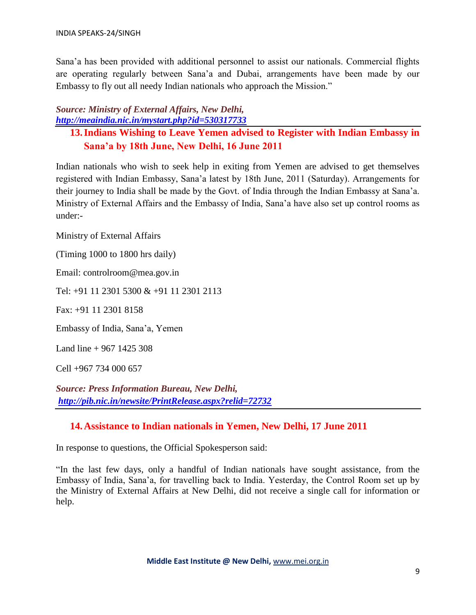Sana'a has been provided with additional personnel to assist our nationals. Commercial flights are operating regularly between Sana'a and Dubai, arrangements have been made by our Embassy to fly out all needy Indian nationals who approach the Mission."

#### *Source: Ministry of External Affairs, New Delhi, <http://meaindia.nic.in/mystart.php?id=530317733>*

#### **13.Indians Wishing to Leave Yemen advised to Register with Indian Embassy in Sana'a by 18th June, New Delhi, 16 June 2011**

Indian nationals who wish to seek help in exiting from Yemen are advised to get themselves registered with Indian Embassy, Sana'a latest by 18th June, 2011 (Saturday). Arrangements for their journey to India shall be made by the Govt. of India through the Indian Embassy at Sana'a. Ministry of External Affairs and the Embassy of India, Sana'a have also set up control rooms as under:-

Ministry of External Affairs

(Timing 1000 to 1800 hrs daily)

Email: controlroom@mea.gov.in

Tel: +91 11 2301 5300 & +91 11 2301 2113

Fax: +91 11 2301 8158

Embassy of India, Sana'a, Yemen

Land line  $+967$  1425 308

Cell +967 734 000 657

*Source: Press Information Bureau, New Delhi, <http://pib.nic.in/newsite/PrintRelease.aspx?relid=72732>*

#### **14.Assistance to Indian nationals in Yemen, New Delhi, 17 June 2011**

In response to questions, the Official Spokesperson said:

"In the last few days, only a handful of Indian nationals have sought assistance, from the Embassy of India, Sana'a, for travelling back to India. Yesterday, the Control Room set up by the Ministry of External Affairs at New Delhi, did not receive a single call for information or help.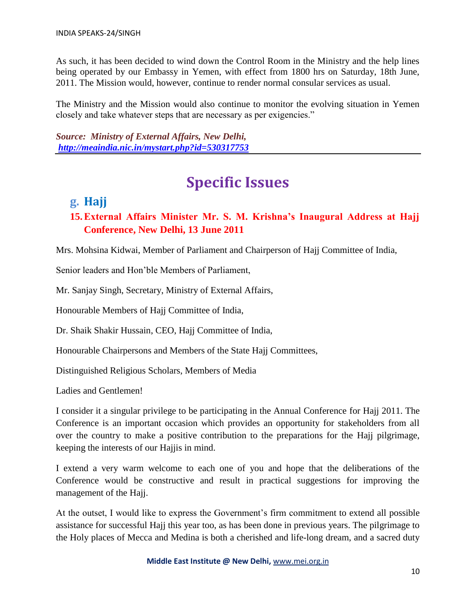As such, it has been decided to wind down the Control Room in the Ministry and the help lines being operated by our Embassy in Yemen, with effect from 1800 hrs on Saturday, 18th June, 2011. The Mission would, however, continue to render normal consular services as usual.

The Ministry and the Mission would also continue to monitor the evolving situation in Yemen closely and take whatever steps that are necessary as per exigencies."

*Source: Ministry of External Affairs, New Delhi, <http://meaindia.nic.in/mystart.php?id=530317753>*

## **Specific Issues**

### **g. Hajj**

#### **15.External Affairs Minister Mr. S. M. Krishna's Inaugural Address at Hajj Conference, New Delhi, 13 June 2011**

Mrs. Mohsina Kidwai, Member of Parliament and Chairperson of Hajj Committee of India,

Senior leaders and Hon'ble Members of Parliament,

Mr. Sanjay Singh, Secretary, Ministry of External Affairs,

Honourable Members of Hajj Committee of India,

Dr. Shaik Shakir Hussain, CEO, Hajj Committee of India,

Honourable Chairpersons and Members of the State Hajj Committees,

Distinguished Religious Scholars, Members of Media

Ladies and Gentlemen!

I consider it a singular privilege to be participating in the Annual Conference for Hajj 2011. The Conference is an important occasion which provides an opportunity for stakeholders from all over the country to make a positive contribution to the preparations for the Hajj pilgrimage, keeping the interests of our Hajjis in mind.

I extend a very warm welcome to each one of you and hope that the deliberations of the Conference would be constructive and result in practical suggestions for improving the management of the Hajj.

At the outset, I would like to express the Government's firm commitment to extend all possible assistance for successful Hajj this year too, as has been done in previous years. The pilgrimage to the Holy places of Mecca and Medina is both a cherished and life-long dream, and a sacred duty

**Middle East Institute @ New Delhi,** www.mei.org.in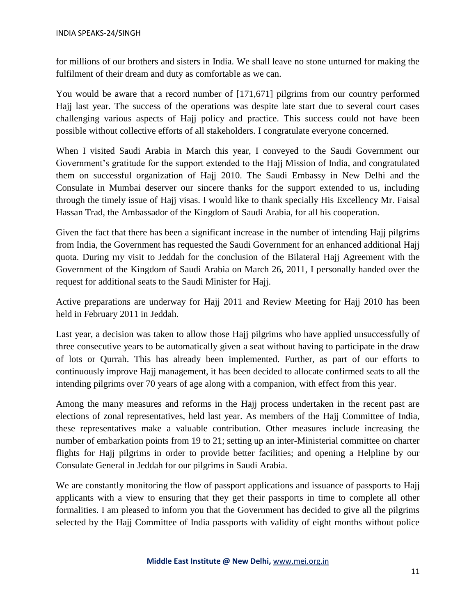for millions of our brothers and sisters in India. We shall leave no stone unturned for making the fulfilment of their dream and duty as comfortable as we can.

You would be aware that a record number of [171,671] pilgrims from our country performed Hajj last year. The success of the operations was despite late start due to several court cases challenging various aspects of Hajj policy and practice. This success could not have been possible without collective efforts of all stakeholders. I congratulate everyone concerned.

When I visited Saudi Arabia in March this year, I conveyed to the Saudi Government our Government's gratitude for the support extended to the Hajj Mission of India, and congratulated them on successful organization of Hajj 2010. The Saudi Embassy in New Delhi and the Consulate in Mumbai deserver our sincere thanks for the support extended to us, including through the timely issue of Hajj visas. I would like to thank specially His Excellency Mr. Faisal Hassan Trad, the Ambassador of the Kingdom of Saudi Arabia, for all his cooperation.

Given the fact that there has been a significant increase in the number of intending Hajj pilgrims from India, the Government has requested the Saudi Government for an enhanced additional Hajj quota. During my visit to Jeddah for the conclusion of the Bilateral Hajj Agreement with the Government of the Kingdom of Saudi Arabia on March 26, 2011, I personally handed over the request for additional seats to the Saudi Minister for Hajj.

Active preparations are underway for Hajj 2011 and Review Meeting for Hajj 2010 has been held in February 2011 in Jeddah.

Last year, a decision was taken to allow those Hajj pilgrims who have applied unsuccessfully of three consecutive years to be automatically given a seat without having to participate in the draw of lots or Qurrah. This has already been implemented. Further, as part of our efforts to continuously improve Hajj management, it has been decided to allocate confirmed seats to all the intending pilgrims over 70 years of age along with a companion, with effect from this year.

Among the many measures and reforms in the Hajj process undertaken in the recent past are elections of zonal representatives, held last year. As members of the Hajj Committee of India, these representatives make a valuable contribution. Other measures include increasing the number of embarkation points from 19 to 21; setting up an inter-Ministerial committee on charter flights for Hajj pilgrims in order to provide better facilities; and opening a Helpline by our Consulate General in Jeddah for our pilgrims in Saudi Arabia.

We are constantly monitoring the flow of passport applications and issuance of passports to Hajj applicants with a view to ensuring that they get their passports in time to complete all other formalities. I am pleased to inform you that the Government has decided to give all the pilgrims selected by the Hajj Committee of India passports with validity of eight months without police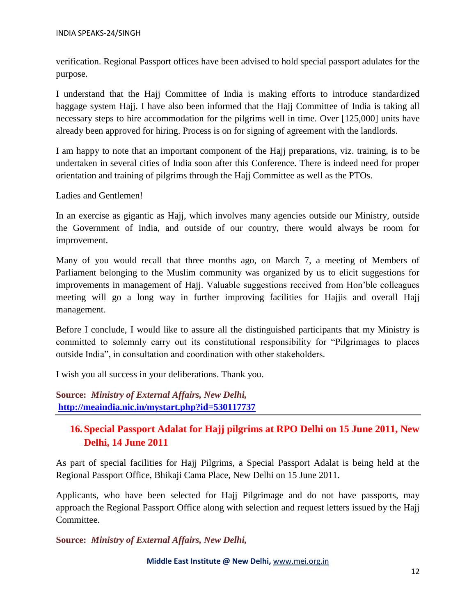verification. Regional Passport offices have been advised to hold special passport adulates for the purpose.

I understand that the Hajj Committee of India is making efforts to introduce standardized baggage system Hajj. I have also been informed that the Hajj Committee of India is taking all necessary steps to hire accommodation for the pilgrims well in time. Over [125,000] units have already been approved for hiring. Process is on for signing of agreement with the landlords.

I am happy to note that an important component of the Hajj preparations, viz. training, is to be undertaken in several cities of India soon after this Conference. There is indeed need for proper orientation and training of pilgrims through the Hajj Committee as well as the PTOs.

Ladies and Gentlemen!

In an exercise as gigantic as Hajj, which involves many agencies outside our Ministry, outside the Government of India, and outside of our country, there would always be room for improvement.

Many of you would recall that three months ago, on March 7, a meeting of Members of Parliament belonging to the Muslim community was organized by us to elicit suggestions for improvements in management of Hajj. Valuable suggestions received from Hon'ble colleagues meeting will go a long way in further improving facilities for Hajjis and overall Hajj management.

Before I conclude, I would like to assure all the distinguished participants that my Ministry is committed to solemnly carry out its constitutional responsibility for "Pilgrimages to places outside India", in consultation and coordination with other stakeholders.

I wish you all success in your deliberations. Thank you.

**Source:** *Ministry of External Affairs, New Delhi,* **<http://meaindia.nic.in/mystart.php?id=530117737>**

#### **16.Special Passport Adalat for Hajj pilgrims at RPO Delhi on 15 June 2011, New Delhi, 14 June 2011**

As part of special facilities for Hajj Pilgrims, a Special Passport Adalat is being held at the Regional Passport Office, Bhikaji Cama Place, New Delhi on 15 June 2011.

Applicants, who have been selected for Hajj Pilgrimage and do not have passports, may approach the Regional Passport Office along with selection and request letters issued by the Hajj Committee.

**Source:** *Ministry of External Affairs, New Delhi,*

**Middle East Institute @ New Delhi,** www.mei.org.in